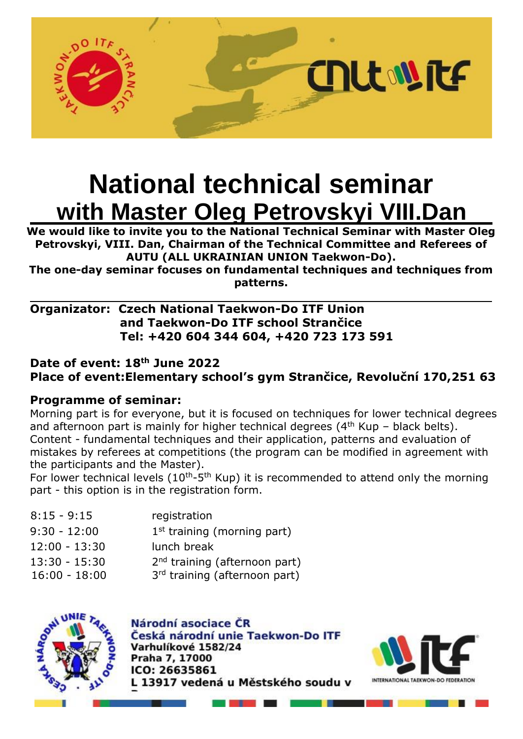

# **National technical seminar with Master Oleg Petrovskyi VIII.Dan**

**We would like to invite you to the National Technical Seminar with Master Oleg Petrovskyi, VIII. Dan, Chairman of the Technical Committee and Referees of AUTU (ALL UKRAINIAN UNION Taekwon-Do).**

**The one-day seminar focuses on fundamental techniques and techniques from patterns.**

## **Organizator: Czech National Taekwon-Do ITF Union and Taekwon-Do ITF school Strančice Tel: +420 604 344 604, +420 723 173 591**

# **Date of event: 18th June 2022 Place [of event:](http://mapy.cz/zakladni?vlastni-body&x=14.6745508&y=49.9467439&z=17&ut=Nov%c3%bd%20bod&uc=9hm-oxXHHj&ud=Revolu%c4%8dn%c3%ad%20170%2C%20Stran%c4%8dice%2C%20251%2063%2C%20okres%20Praha-v%c3%bdchod)Elementary school's gym Strančice, Revoluční 170,251 63**

# **Programme of seminar:**

Morning part is for everyone, but it is focused on techniques for lower technical degrees and afternoon part is mainly for higher technical degrees ( $4<sup>th</sup>$  Kup – black belts). Content - fundamental techniques and their application, patterns and evaluation of mistakes by referees at competitions (the program can be modified in agreement with the participants and the Master).

For lower technical levels ( $10<sup>th</sup>$ -5<sup>th</sup> Kup) it is recommended to attend only the morning part - this option is in the registration form.

| $8:15 - 9:15$                      | registration                                                               |
|------------------------------------|----------------------------------------------------------------------------|
| $9:30 - 12:00$                     | $1st$ training (morning part)                                              |
| $12:00 - 13:30$                    | lunch break                                                                |
| $13:30 - 15:30$<br>$16:00 - 18:00$ | 2 <sup>nd</sup> training (afternoon part)<br>3rd training (afternoon part) |
|                                    |                                                                            |



Národní asociace ČR Česká národní unie Taekwon-Do ITF Varhulíkové 1582/24 Praha 7, 17000 ICO: 26635861 L 13917 vedená u Městského soudu v